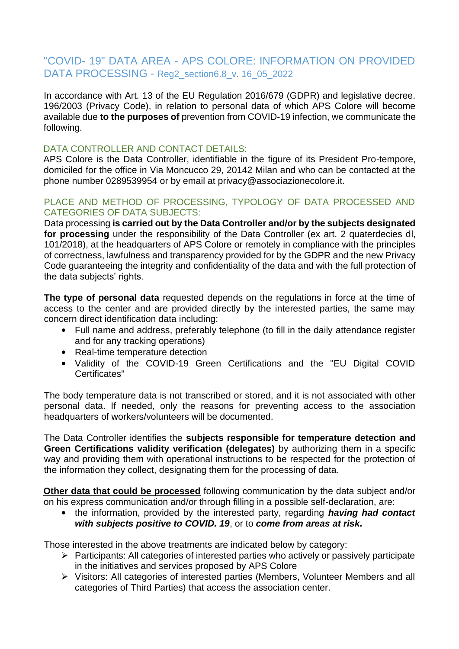# "COVID- 19" DATA AREA - APS COLORE: INFORMATION ON PROVIDED DATA PROCESSING - Reg2\_section6.8\_v. 16\_05\_2022

In accordance with Art. 13 of the EU Regulation 2016/679 (GDPR) and legislative decree. 196/2003 (Privacy Code), in relation to personal data of which APS Colore will become available due **to the purposes of** prevention from COVID-19 infection, we communicate the following.

#### DATA CONTROLLER AND CONTACT DETAILS:

APS Colore is the Data Controller, identifiable in the figure of its President Pro-tempore, domiciled for the office in Via Moncucco 29, 20142 Milan and who can be contacted at the phone number 0289539954 or by email at privacy@associazionecolore.it.

#### PLACE AND METHOD OF PROCESSING, TYPOLOGY OF DATA PROCESSED AND CATEGORIES OF DATA SUBJECTS:

Data processing **is carried out by the Data Controller and/or by the subjects designated for processing** under the responsibility of the Data Controller (ex art. 2 quaterdecies dl, 101/2018), at the headquarters of APS Colore or remotely in compliance with the principles of correctness, lawfulness and transparency provided for by the GDPR and the new Privacy Code guaranteeing the integrity and confidentiality of the data and with the full protection of the data subjects' rights.

**The type of personal data** requested depends on the regulations in force at the time of access to the center and are provided directly by the interested parties, the same may concern direct identification data including:

- Full name and address, preferably telephone (to fill in the daily attendance register and for any tracking operations)
- Real-time temperature detection
- Validity of the COVID-19 Green Certifications and the "EU Digital COVID Certificates"

The body temperature data is not transcribed or stored, and it is not associated with other personal data. If needed, only the reasons for preventing access to the association headquarters of workers/volunteers will be documented.

The Data Controller identifies the **subjects responsible for temperature detection and Green Certifications validity verification (delegates)** by authorizing them in a specific way and providing them with operational instructions to be respected for the protection of the information they collect, designating them for the processing of data.

**Other data that could be processed** following communication by the data subject and/or on his express communication and/or through filling in a possible self-declaration, are:

• the information, provided by the interested party, regarding *having had contact with subjects positive to COVID. 19*, or to *come from areas at risk.*

Those interested in the above treatments are indicated below by category:

- ➢ Participants: All categories of interested parties who actively or passively participate in the initiatives and services proposed by APS Colore
- ➢ Visitors: All categories of interested parties (Members, Volunteer Members and all categories of Third Parties) that access the association center.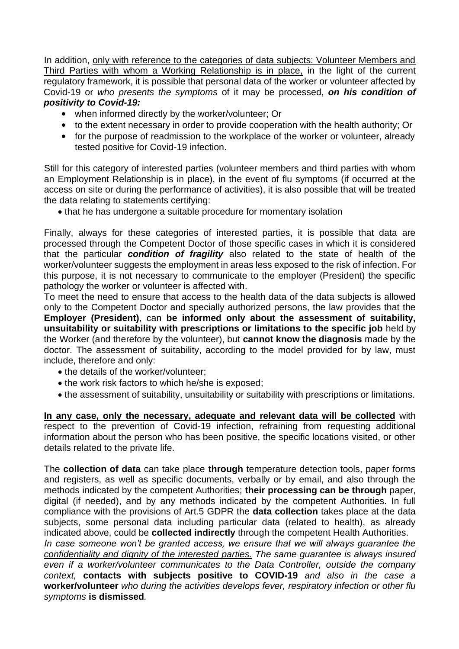In addition, only with reference to the categories of data subjects: Volunteer Members and Third Parties with whom a Working Relationship is in place, in the light of the current regulatory framework, it is possible that personal data of the worker or volunteer affected by Covid-19 or *who presents the symptoms* of it may be processed, *on his condition of positivity to Covid-19:*

- when informed directly by the worker/volunteer; Or
- to the extent necessary in order to provide cooperation with the health authority; Or
- for the purpose of readmission to the workplace of the worker or volunteer, already tested positive for Covid-19 infection.

Still for this category of interested parties (volunteer members and third parties with whom an Employment Relationship is in place), in the event of flu symptoms (if occurred at the access on site or during the performance of activities), it is also possible that will be treated the data relating to statements certifying:

• that he has undergone a suitable procedure for momentary isolation

Finally, always for these categories of interested parties, it is possible that data are processed through the Competent Doctor of those specific cases in which it is considered that the particular *condition of fragility* also related to the state of health of the worker/volunteer suggests the employment in areas less exposed to the risk of infection. For this purpose, it is not necessary to communicate to the employer (President) the specific pathology the worker or volunteer is affected with.

To meet the need to ensure that access to the health data of the data subjects is allowed only to the Competent Doctor and specially authorized persons, the law provides that the **Employer (President)**, can **be informed only about the assessment of suitability, unsuitability or suitability with prescriptions or limitations to the specific job** held by the Worker (and therefore by the volunteer), but **cannot know the diagnosis** made by the doctor. The assessment of suitability, according to the model provided for by law, must include, therefore and only:

- the details of the worker/volunteer;
- the work risk factors to which he/she is exposed;
- the assessment of suitability, unsuitability or suitability with prescriptions or limitations.

**In any case, only the necessary, adequate and relevant data will be collected** with respect to the prevention of Covid-19 infection, refraining from requesting additional information about the person who has been positive, the specific locations visited, or other details related to the private life.

The **collection of data** can take place **through** temperature detection tools, paper forms and registers, as well as specific documents, verbally or by email, and also through the methods indicated by the competent Authorities; **their processing can be through** paper, digital (if needed), and by any methods indicated by the competent Authorities. In full compliance with the provisions of Art.5 GDPR the **data collection** takes place at the data subjects, some personal data including particular data (related to health), as already indicated above, could be **collected indirectly** through the competent Health Authorities.

*In case someone won't be granted access, we ensure that we will always guarantee the confidentiality and dignity of the interested parties. The same guarantee is always insured even if a worker/volunteer communicates to the Data Controller, outside the company context,* **contacts with subjects positive to COVID-19** *and also in the case a*  **worker/volunteer** *who during the activities develops fever, respiratory infection or other flu symptoms* **is dismissed***.*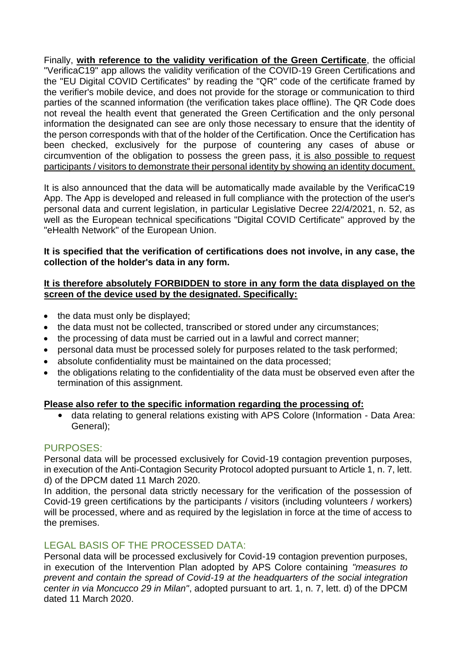Finally, **with reference to the validity verification of the Green Certificate**, the official "VerificaC19" app allows the validity verification of the COVID-19 Green Certifications and the "EU Digital COVID Certificates" by reading the "QR" code of the certificate framed by the verifier's mobile device, and does not provide for the storage or communication to third parties of the scanned information (the verification takes place offline). The QR Code does not reveal the health event that generated the Green Certification and the only personal information the designated can see are only those necessary to ensure that the identity of the person corresponds with that of the holder of the Certification. Once the Certification has been checked, exclusively for the purpose of countering any cases of abuse or circumvention of the obligation to possess the green pass, it is also possible to request participants / visitors to demonstrate their personal identity by showing an identity document.

It is also announced that the data will be automatically made available by the VerificaC19 App. The App is developed and released in full compliance with the protection of the user's personal data and current legislation, in particular Legislative Decree 22/4/2021, n. 52, as well as the European technical specifications "Digital COVID Certificate" approved by the "eHealth Network" of the European Union.

#### **It is specified that the verification of certifications does not involve, in any case, the collection of the holder's data in any form.**

#### **It is therefore absolutely FORBIDDEN to store in any form the data displayed on the screen of the device used by the designated. Specifically:**

- the data must only be displayed;
- the data must not be collected, transcribed or stored under any circumstances;
- the processing of data must be carried out in a lawful and correct manner:
- personal data must be processed solely for purposes related to the task performed;
- absolute confidentiality must be maintained on the data processed:
- the obligations relating to the confidentiality of the data must be observed even after the termination of this assignment.

### **Please also refer to the specific information regarding the processing of:**

• data relating to general relations existing with APS Colore (Information - Data Area: General);

### PURPOSES:

Personal data will be processed exclusively for Covid-19 contagion prevention purposes, in execution of the Anti-Contagion Security Protocol adopted pursuant to Article 1, n. 7, lett. d) of the DPCM dated 11 March 2020.

In addition, the personal data strictly necessary for the verification of the possession of Covid-19 green certifications by the participants / visitors (including volunteers / workers) will be processed, where and as required by the legislation in force at the time of access to the premises.

# LEGAL BASIS OF THE PROCESSED DATA:

Personal data will be processed exclusively for Covid-19 contagion prevention purposes, in execution of the Intervention Plan adopted by APS Colore containing *"measures to prevent and contain the spread of Covid-19 at the headquarters of the social integration center in via Moncucco 29 in Milan"*, adopted pursuant to art. 1, n. 7, lett. d) of the DPCM dated 11 March 2020.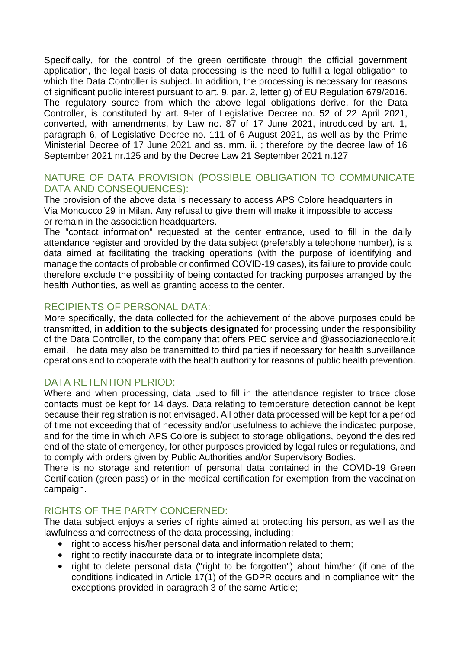Specifically, for the control of the green certificate through the official government application, the legal basis of data processing is the need to fulfill a legal obligation to which the Data Controller is subject. In addition, the processing is necessary for reasons of significant public interest pursuant to art. 9, par. 2, letter g) of EU Regulation 679/2016. The regulatory source from which the above legal obligations derive, for the Data Controller, is constituted by art. 9-ter of Legislative Decree no. 52 of 22 April 2021, converted, with amendments, by Law no. 87 of 17 June 2021, introduced by art. 1, paragraph 6, of Legislative Decree no. 111 of 6 August 2021, as well as by the Prime Ministerial Decree of 17 June 2021 and ss. mm. ii. ; therefore by the decree law of 16 September 2021 nr.125 and by the Decree Law 21 September 2021 n.127

# NATURE OF DATA PROVISION (POSSIBLE OBLIGATION TO COMMUNICATE DATA AND CONSEQUENCES):

The provision of the above data is necessary to access APS Colore headquarters in Via Moncucco 29 in Milan. Any refusal to give them will make it impossible to access or remain in the association headquarters.

The "contact information" requested at the center entrance, used to fill in the daily attendance register and provided by the data subject (preferably a telephone number), is a data aimed at facilitating the tracking operations (with the purpose of identifying and manage the contacts of probable or confirmed COVID-19 cases), its failure to provide could therefore exclude the possibility of being contacted for tracking purposes arranged by the health Authorities, as well as granting access to the center.

# RECIPIENTS OF PERSONAL DATA:

More specifically, the data collected for the achievement of the above purposes could be transmitted, **in addition to the subjects designated** for processing under the responsibility of the Data Controller, to the company that offers PEC service and @associazionecolore.it email. The data may also be transmitted to third parties if necessary for health surveillance operations and to cooperate with the health authority for reasons of public health prevention.

### DATA RETENTION PERIOD:

Where and when processing, data used to fill in the attendance register to trace close contacts must be kept for 14 days. Data relating to temperature detection cannot be kept because their registration is not envisaged. All other data processed will be kept for a period of time not exceeding that of necessity and/or usefulness to achieve the indicated purpose, and for the time in which APS Colore is subject to storage obligations, beyond the desired end of the state of emergency, for other purposes provided by legal rules or regulations, and to comply with orders given by Public Authorities and/or Supervisory Bodies.

There is no storage and retention of personal data contained in the COVID-19 Green Certification (green pass) or in the medical certification for exemption from the vaccination campaign.

### RIGHTS OF THE PARTY CONCERNED:

The data subject enjoys a series of rights aimed at protecting his person, as well as the lawfulness and correctness of the data processing, including:

- right to access his/her personal data and information related to them;
- right to rectify inaccurate data or to integrate incomplete data;
- right to delete personal data ("right to be forgotten") about him/her (if one of the conditions indicated in Article 17(1) of the GDPR occurs and in compliance with the exceptions provided in paragraph 3 of the same Article;